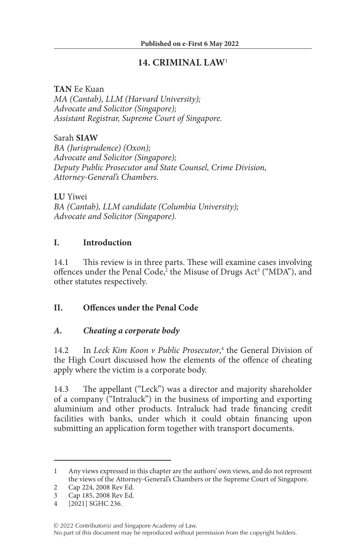## **14. CRIMINAL LAW**<sup>1</sup>

**TAN** Ee Kuan *MA (Cantab), LLM (Harvard University); Advocate and Solicitor (Singapore); Assistant Registrar, Supreme Court of Singapore.*

Sarah **SIAW** *BA (Jurisprudence) (Oxon); Advocate and Solicitor (Singapore); Deputy Public Prosecutor and State Counsel, Crime Division, Attorney-General's Chambers.*

**LU** Yiwei *BA (Cantab), LLM candidate (Columbia University); Advocate and Solicitor (Singapore).*

#### **I. Introduction**

14.1 This review is in three parts. These will examine cases involving offences under the Penal Code,<sup>2</sup> the Misuse of Drugs Act<sup>3</sup> ("MDA"), and other statutes respectively.

### **II. Offences under the Penal Code**

### *A. Cheating a corporate body*

14.2 In *Leck Kim Koon v Public Prosecutor*,<sup>4</sup> the General Division of the High Court discussed how the elements of the offence of cheating apply where the victim is a corporate body.

14.3 The appellant ("Leck") was a director and majority shareholder of a company ("Intraluck") in the business of importing and exporting aluminium and other products. Intraluck had trade financing credit facilities with banks, under which it could obtain financing upon submitting an application form together with transport documents.

<sup>1</sup> Any views expressed in this chapter are the authors' own views, and do not represent the views of the Attorney-General's Chambers or the Supreme Court of Singapore.

<sup>2</sup> Cap 224, 2008 Rev Ed.

<sup>3</sup> Cap 185, 2008 Rev Ed.

<sup>4</sup> [2021] SGHC 236.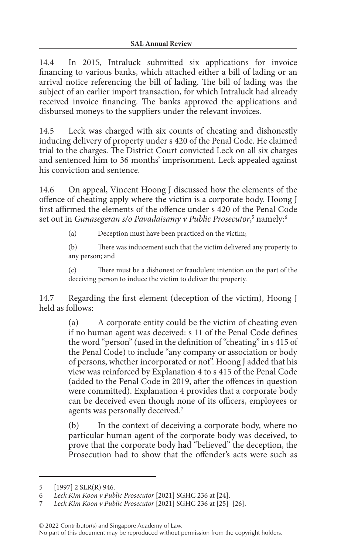14.4 In 2015, Intraluck submitted six applications for invoice financing to various banks, which attached either a bill of lading or an arrival notice referencing the bill of lading. The bill of lading was the subject of an earlier import transaction, for which Intraluck had already received invoice financing. The banks approved the applications and disbursed moneys to the suppliers under the relevant invoices.

14.5 Leck was charged with six counts of cheating and dishonestly inducing delivery of property under s 420 of the Penal Code. He claimed trial to the charges. The District Court convicted Leck on all six charges and sentenced him to 36 months' imprisonment. Leck appealed against his conviction and sentence.

14.6 On appeal, Vincent Hoong J discussed how the elements of the offence of cheating apply where the victim is a corporate body. Hoong J first affirmed the elements of the offence under s 420 of the Penal Code set out in *Gunasegeran s/o Pavadaisamy v Public Prosecutor*,<sup>5</sup> namely:<sup>6</sup>

(a) Deception must have been practiced on the victim;

(b) There was inducement such that the victim delivered any property to any person; and

(c) There must be a dishonest or fraudulent intention on the part of the deceiving person to induce the victim to deliver the property.

14.7 Regarding the first element (deception of the victim), Hoong J held as follows:

> (a) A corporate entity could be the victim of cheating even if no human agent was deceived: s 11 of the Penal Code defines the word "person" (used in the definition of "cheating" in s 415 of the Penal Code) to include "any company or association or body of persons, whether incorporated or not". Hoong J added that his view was reinforced by Explanation 4 to s 415 of the Penal Code (added to the Penal Code in 2019, after the offences in question were committed). Explanation 4 provides that a corporate body can be deceived even though none of its officers, employees or agents was personally deceived.7

> (b) In the context of deceiving a corporate body, where no particular human agent of the corporate body was deceived, to prove that the corporate body had "believed" the deception, the Prosecution had to show that the offender's acts were such as

<sup>5</sup> [1997] 2 SLR(R) 946.

<sup>6</sup> *Leck Kim Koon v Public Prosecutor* [2021] SGHC 236 at [24].

<sup>7</sup> *Leck Kim Koon v Public Prosecutor* [2021] SGHC 236 at [25]–[26].

No part of this document may be reproduced without permission from the copyright holders.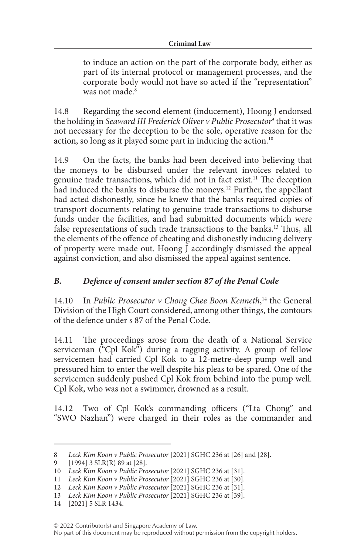to induce an action on the part of the corporate body, either as part of its internal protocol or management processes, and the corporate body would not have so acted if the "representation" was not made.<sup>8</sup>

14.8 Regarding the second element (inducement), Hoong J endorsed the holding in *Seaward III Frederick Oliver v Public Prosecutor*<sup>9</sup> that it was not necessary for the deception to be the sole, operative reason for the action, so long as it played some part in inducing the action.<sup>10</sup>

14.9 On the facts, the banks had been deceived into believing that the moneys to be disbursed under the relevant invoices related to genuine trade transactions, which did not in fact exist.11 The deception had induced the banks to disburse the moneys.<sup>12</sup> Further, the appellant had acted dishonestly, since he knew that the banks required copies of transport documents relating to genuine trade transactions to disburse funds under the facilities, and had submitted documents which were false representations of such trade transactions to the banks.<sup>13</sup> Thus, all the elements of the offence of cheating and dishonestly inducing delivery of property were made out. Hoong J accordingly dismissed the appeal against conviction, and also dismissed the appeal against sentence.

# *B. Defence of consent under section 87 of the Penal Code*

14.10 In *Public Prosecutor v Chong Chee Boon Kenneth*, 14 the General Division of the High Court considered, among other things, the contours of the defence under s 87 of the Penal Code.

14.11 The proceedings arose from the death of a National Service serviceman ("Cpl Kok") during a ragging activity. A group of fellow servicemen had carried Cpl Kok to a 12-metre-deep pump well and pressured him to enter the well despite his pleas to be spared. One of the servicemen suddenly pushed Cpl Kok from behind into the pump well. Cpl Kok, who was not a swimmer, drowned as a result.

14.12 Two of Cpl Kok's commanding officers ("Lta Chong" and "SWO Nazhan") were charged in their roles as the commander and

<sup>8</sup> *Leck Kim Koon v Public Prosecutor* [2021] SGHC 236 at [26] and [28].

<sup>9</sup> [1994] 3 SLR(R) 89 at [28].

<sup>10</sup> *Leck Kim Koon v Public Prosecutor* [2021] SGHC 236 at [31].

<sup>11</sup> *Leck Kim Koon v Public Prosecutor* [2021] SGHC 236 at [30].

<sup>12</sup> *Leck Kim Koon v Public Prosecutor* [2021] SGHC 236 at [31].

<sup>13</sup> *Leck Kim Koon v Public Prosecutor* [2021] SGHC 236 at [39].

<sup>14</sup> [2021] 5 SLR 1434.

No part of this document may be reproduced without permission from the copyright holders.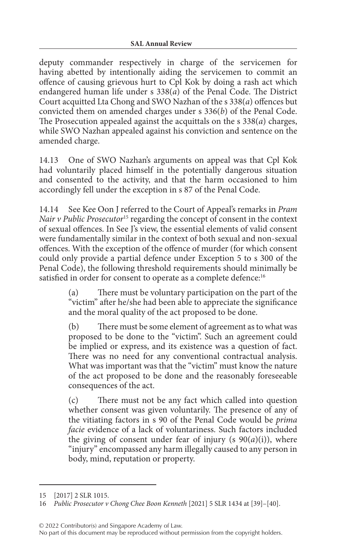deputy commander respectively in charge of the servicemen for having abetted by intentionally aiding the servicemen to commit an offence of causing grievous hurt to Cpl Kok by doing a rash act which endangered human life under s 338(*a*) of the Penal Code. The District Court acquitted Lta Chong and SWO Nazhan of the s 338(*a*) offences but convicted them on amended charges under s 336(*b*) of the Penal Code. The Prosecution appealed against the acquittals on the s 338(*a*) charges, while SWO Nazhan appealed against his conviction and sentence on the amended charge.

14.13 One of SWO Nazhan's arguments on appeal was that Cpl Kok had voluntarily placed himself in the potentially dangerous situation and consented to the activity, and that the harm occasioned to him accordingly fell under the exception in s 87 of the Penal Code.

14.14 See Kee Oon J referred to the Court of Appeal's remarks in *Pram Nair v Public Prosecutor*15 regarding the concept of consent in the context of sexual offences. In See J's view, the essential elements of valid consent were fundamentally similar in the context of both sexual and non-sexual offences. With the exception of the offence of murder (for which consent could only provide a partial defence under Exception 5 to s 300 of the Penal Code), the following threshold requirements should minimally be satisfied in order for consent to operate as a complete defence:<sup>16</sup>

> (a) There must be voluntary participation on the part of the "victim" after he/she had been able to appreciate the significance and the moral quality of the act proposed to be done.

> (b) There must be some element of agreement as to what was proposed to be done to the "victim". Such an agreement could be implied or express, and its existence was a question of fact. There was no need for any conventional contractual analysis. What was important was that the "victim" must know the nature of the act proposed to be done and the reasonably foreseeable consequences of the act.

> (c) There must not be any fact which called into question whether consent was given voluntarily. The presence of any of the vitiating factors in s 90 of the Penal Code would be *prima facie* evidence of a lack of voluntariness. Such factors included the giving of consent under fear of injury (s  $90(a)(i)$ ), where "injury" encompassed any harm illegally caused to any person in body, mind, reputation or property.

© 2022 Contributor(s) and Singapore Academy of Law.

<sup>15</sup> [2017] 2 SLR 1015.

<sup>16</sup> *Public Prosecutor v Chong Chee Boon Kenneth* [2021] 5 SLR 1434 at [39]–[40].

No part of this document may be reproduced without permission from the copyright holders.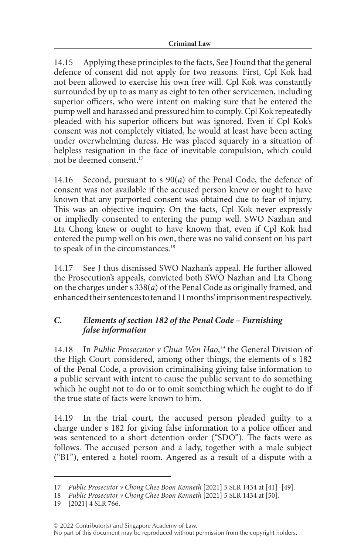14.15 Applying these principles to the facts, See J found that the general defence of consent did not apply for two reasons. First, Cpl Kok had not been allowed to exercise his own free will. Cpl Kok was constantly surrounded by up to as many as eight to ten other servicemen, including superior officers, who were intent on making sure that he entered the pump well and harassed and pressured him to comply. Cpl Kok repeatedly pleaded with his superior officers but was ignored. Even if Cpl Kok's consent was not completely vitiated, he would at least have been acting under overwhelming duress. He was placed squarely in a situation of helpless resignation in the face of inevitable compulsion, which could not be deemed consent.17

14.16 Second, pursuant to s 90(*a*) of the Penal Code, the defence of consent was not available if the accused person knew or ought to have known that any purported consent was obtained due to fear of injury. This was an objective inquiry. On the facts, Cpl Kok never expressly or impliedly consented to entering the pump well. SWO Nazhan and Lta Chong knew or ought to have known that, even if Cpl Kok had entered the pump well on his own, there was no valid consent on his part to speak of in the circumstances.<sup>18</sup>

14.17 See J thus dismissed SWO Nazhan's appeal. He further allowed the Prosecution's appeals, convicted both SWO Nazhan and Lta Chong on the charges under s 338(*a*) of the Penal Code as originally framed, and enhanced their sentences to ten and 11 months' imprisonment respectively.

## *C. Elements of section 182 of the Penal Code – Furnishing false information*

14.18 In *Public Prosecutor v Chua Wen Hao*, 19 the General Division of the High Court considered, among other things, the elements of s 182 of the Penal Code, a provision criminalising giving false information to a public servant with intent to cause the public servant to do something which he ought not to do or to omit something which he ought to do if the true state of facts were known to him.

14.19 In the trial court, the accused person pleaded guilty to a charge under s 182 for giving false information to a police officer and was sentenced to a short detention order ("SDO"). The facts were as follows. The accused person and a lady, together with a male subject ("B1"), entered a hotel room. Angered as a result of a dispute with a

<sup>17</sup> *Public Prosecutor v Chong Chee Boon Kenneth* [2021] 5 SLR 1434 at [41]–[49].

<sup>18</sup> *Public Prosecutor v Chong Chee Boon Kenneth* [2021] 5 SLR 1434 at [50].

<sup>19</sup> [2021] 4 SLR 766.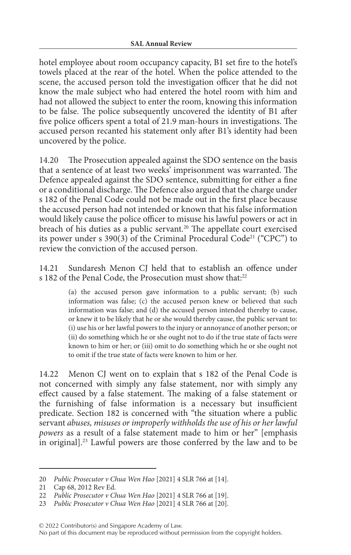hotel employee about room occupancy capacity, B1 set fire to the hotel's towels placed at the rear of the hotel. When the police attended to the scene, the accused person told the investigation officer that he did not know the male subject who had entered the hotel room with him and had not allowed the subject to enter the room, knowing this information to be false. The police subsequently uncovered the identity of B1 after five police officers spent a total of 21.9 man-hours in investigations. The accused person recanted his statement only after B1's identity had been uncovered by the police.

14.20 The Prosecution appealed against the SDO sentence on the basis that a sentence of at least two weeks' imprisonment was warranted. The Defence appealed against the SDO sentence, submitting for either a fine or a conditional discharge. The Defence also argued that the charge under s 182 of the Penal Code could not be made out in the first place because the accused person had not intended or known that his false information would likely cause the police officer to misuse his lawful powers or act in breach of his duties as a public servant.<sup>20</sup> The appellate court exercised its power under s 390(3) of the Criminal Procedural Code<sup>21</sup> ("CPC") to review the conviction of the accused person.

14.21 Sundaresh Menon CJ held that to establish an offence under s 182 of the Penal Code, the Prosecution must show that:<sup>22</sup>

> (a) the accused person gave information to a public servant; (b) such information was false; (c) the accused person knew or believed that such information was false; and (d) the accused person intended thereby to cause, or knew it to be likely that he or she would thereby cause, the public servant to: (i) use his or her lawful powers to the injury or annoyance of another person; or (ii) do something which he or she ought not to do if the true state of facts were known to him or her; or (iii) omit to do something which he or she ought not to omit if the true state of facts were known to him or her.

14.22 Menon CJ went on to explain that s 182 of the Penal Code is not concerned with simply any false statement, nor with simply any effect caused by a false statement. The making of a false statement or the furnishing of false information is a necessary but insufficient predicate. Section 182 is concerned with "the situation where a public servant *abuses, misuses or improperly withholds the use of his or her lawful powers* as a result of a false statement made to him or her" [emphasis in original].23 Lawful powers are those conferred by the law and to be

<sup>20</sup> *Public Prosecutor v Chua Wen Hao* [2021] 4 SLR 766 at [14].

<sup>21</sup> Cap 68, 2012 Rev Ed.

<sup>22</sup> *Public Prosecutor v Chua Wen Hao* [2021] 4 SLR 766 at [19].

<sup>23</sup> *Public Prosecutor v Chua Wen Hao* [2021] 4 SLR 766 at [20].

No part of this document may be reproduced without permission from the copyright holders.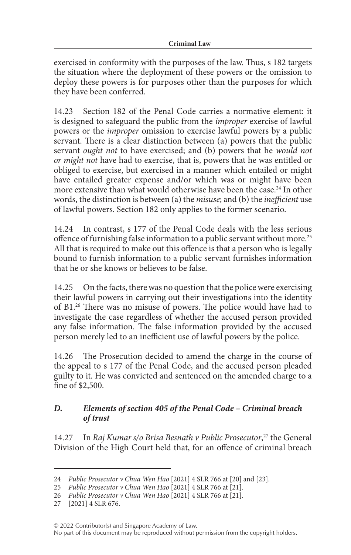exercised in conformity with the purposes of the law. Thus, s 182 targets the situation where the deployment of these powers or the omission to deploy these powers is for purposes other than the purposes for which they have been conferred.

14.23 Section 182 of the Penal Code carries a normative element: it is designed to safeguard the public from the *improper* exercise of lawful powers or the *improper* omission to exercise lawful powers by a public servant. There is a clear distinction between (a) powers that the public servant *ought not* to have exercised; and (b) powers that he *would not or might not* have had to exercise, that is, powers that he was entitled or obliged to exercise, but exercised in a manner which entailed or might have entailed greater expense and/or which was or might have been more extensive than what would otherwise have been the case.<sup>24</sup> In other words, the distinction is between (a) the *misuse*; and (b) the *inefficient* use of lawful powers. Section 182 only applies to the former scenario.

14.24 In contrast, s 177 of the Penal Code deals with the less serious offence of furnishing false information to a public servant without more.<sup>25</sup> All that is required to make out this offence is that a person who is legally bound to furnish information to a public servant furnishes information that he or she knows or believes to be false.

14.25 On the facts, there was no question that the police were exercising their lawful powers in carrying out their investigations into the identity of B1.26 There was no misuse of powers. The police would have had to investigate the case regardless of whether the accused person provided any false information. The false information provided by the accused person merely led to an inefficient use of lawful powers by the police.

14.26 The Prosecution decided to amend the charge in the course of the appeal to s 177 of the Penal Code, and the accused person pleaded guilty to it. He was convicted and sentenced on the amended charge to a fine of \$2,500.

### *D. Elements of section 405 of the Penal Code – Criminal breach of trust*

14.27 In *Raj Kumar s/o Brisa Besnath v Public Prosecutor*,<sup>27</sup> the General Division of the High Court held that, for an offence of criminal breach

<sup>24</sup> *Public Prosecutor v Chua Wen Hao* [2021] 4 SLR 766 at [20] and [23].

<sup>25</sup> *Public Prosecutor v Chua Wen Hao* [2021] 4 SLR 766 at [21].

<sup>26</sup> *Public Prosecutor v Chua Wen Hao* [2021] 4 SLR 766 at [21].

<sup>27</sup> [2021] 4 SLR 676.

No part of this document may be reproduced without permission from the copyright holders.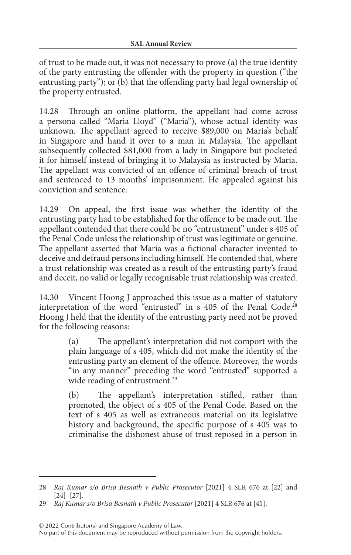of trust to be made out, it was not necessary to prove (a) the true identity of the party entrusting the offender with the property in question ("the entrusting party"); or (b) that the offending party had legal ownership of the property entrusted.

14.28 Through an online platform, the appellant had come across a persona called "Maria Lloyd" ("Maria"), whose actual identity was unknown. The appellant agreed to receive \$89,000 on Maria's behalf in Singapore and hand it over to a man in Malaysia. The appellant subsequently collected \$81,000 from a lady in Singapore but pocketed it for himself instead of bringing it to Malaysia as instructed by Maria. The appellant was convicted of an offence of criminal breach of trust and sentenced to 13 months' imprisonment. He appealed against his conviction and sentence.

14.29 On appeal, the first issue was whether the identity of the entrusting party had to be established for the offence to be made out. The appellant contended that there could be no "entrustment" under s 405 of the Penal Code unless the relationship of trust was legitimate or genuine. The appellant asserted that Maria was a fictional character invented to deceive and defraud persons including himself. He contended that, where a trust relationship was created as a result of the entrusting party's fraud and deceit, no valid or legally recognisable trust relationship was created.

14.30 Vincent Hoong J approached this issue as a matter of statutory interpretation of the word "entrusted" in s 405 of the Penal Code.<sup>28</sup> Hoong J held that the identity of the entrusting party need not be proved for the following reasons:

> (a) The appellant's interpretation did not comport with the plain language of s 405, which did not make the identity of the entrusting party an element of the offence. Moreover, the words "in any manner" preceding the word "entrusted" supported a wide reading of entrustment.<sup>29</sup>

> (b) The appellant's interpretation stifled, rather than promoted, the object of s 405 of the Penal Code. Based on the text of s 405 as well as extraneous material on its legislative history and background, the specific purpose of s 405 was to criminalise the dishonest abuse of trust reposed in a person in

© 2022 Contributor(s) and Singapore Academy of Law.

<sup>28</sup> *Raj Kumar s/o Brisa Besnath v Public Prosecutor* [2021] 4 SLR 676 at [22] and [24]–[27].

<sup>29</sup> *Raj Kumar s/o Brisa Besnath v Public Prosecutor* [2021] 4 SLR 676 at [41].

No part of this document may be reproduced without permission from the copyright holders.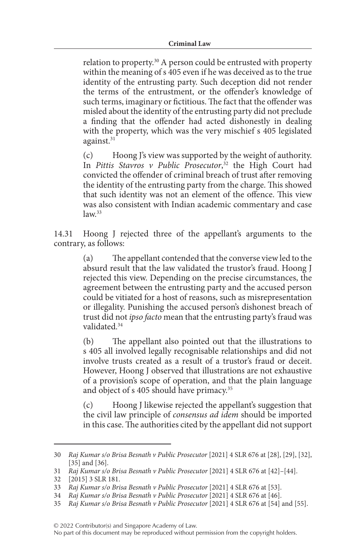relation to property.30 A person could be entrusted with property within the meaning of s 405 even if he was deceived as to the true identity of the entrusting party. Such deception did not render the terms of the entrustment, or the offender's knowledge of such terms, imaginary or fictitious. The fact that the offender was misled about the identity of the entrusting party did not preclude a finding that the offender had acted dishonestly in dealing with the property, which was the very mischief s 405 legislated against.<sup>31</sup>

(c) Hoong J's view was supported by the weight of authority. In *Pittis Stavros v Public Prosecutor*, 32 the High Court had convicted the offender of criminal breach of trust after removing the identity of the entrusting party from the charge. This showed that such identity was not an element of the offence. This view was also consistent with Indian academic commentary and case  $law<sup>33</sup>$ 

14.31 Hoong J rejected three of the appellant's arguments to the contrary, as follows:

> (a) The appellant contended that the converse view led to the absurd result that the law validated the trustor's fraud. Hoong J rejected this view. Depending on the precise circumstances, the agreement between the entrusting party and the accused person could be vitiated for a host of reasons, such as misrepresentation or illegality. Punishing the accused person's dishonest breach of trust did not *ipso facto* mean that the entrusting party's fraud was validated<sup>34</sup>

> (b) The appellant also pointed out that the illustrations to s 405 all involved legally recognisable relationships and did not involve trusts created as a result of a trustor's fraud or deceit. However, Hoong J observed that illustrations are not exhaustive of a provision's scope of operation, and that the plain language and object of s 405 should have primacy.<sup>35</sup>

> (c) Hoong J likewise rejected the appellant's suggestion that the civil law principle of *consensus ad idem* should be imported in this case. The authorities cited by the appellant did not support

© 2022 Contributor(s) and Singapore Academy of Law.

<sup>30</sup> *Raj Kumar s/o Brisa Besnath v Public Prosecutor* [2021] 4 SLR 676 at [28], [29], [32], [35] and [36].

<sup>31</sup> *Raj Kumar s/o Brisa Besnath v Public Prosecutor* [2021] 4 SLR 676 at [42]–[44].

<sup>32</sup> [2015] 3 SLR 181.

<sup>33</sup> *Raj Kumar s/o Brisa Besnath v Public Prosecutor* [2021] 4 SLR 676 at [53].

<sup>34</sup> *Raj Kumar s/o Brisa Besnath v Public Prosecutor* [2021] 4 SLR 676 at [46].

<sup>35</sup> *Raj Kumar s/o Brisa Besnath v Public Prosecutor* [2021] 4 SLR 676 at [54] and [55].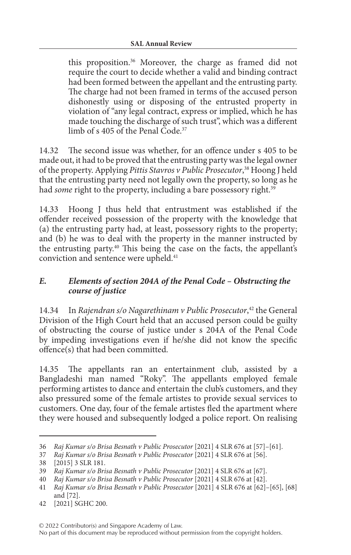this proposition.36 Moreover, the charge as framed did not require the court to decide whether a valid and binding contract had been formed between the appellant and the entrusting party. The charge had not been framed in terms of the accused person dishonestly using or disposing of the entrusted property in violation of "any legal contract, express or implied, which he has made touching the discharge of such trust", which was a different limb of s 405 of the Penal Code.<sup>37</sup>

14.32 The second issue was whether, for an offence under s 405 to be made out, it had to be proved that the entrusting party was the legal owner of the property. Applying *Pittis Stavros v Public Prosecutor*, 38 Hoong J held that the entrusting party need not legally own the property, so long as he had *some* right to the property, including a bare possessory right.<sup>39</sup>

14.33 Hoong J thus held that entrustment was established if the offender received possession of the property with the knowledge that (a) the entrusting party had, at least, possessory rights to the property; and (b) he was to deal with the property in the manner instructed by the entrusting party.40 This being the case on the facts, the appellant's conviction and sentence were upheld.<sup>41</sup>

## *E. Elements of section 204A of the Penal Code – Obstructing the course of justice*

14.34 In *Rajendran s/o Nagarethinam v Public Prosecutor*, 42 the General Division of the High Court held that an accused person could be guilty of obstructing the course of justice under s 204A of the Penal Code by impeding investigations even if he/she did not know the specific offence(s) that had been committed.

14.35 The appellants ran an entertainment club, assisted by a Bangladeshi man named "Roky". The appellants employed female performing artistes to dance and entertain the club's customers, and they also pressured some of the female artistes to provide sexual services to customers. One day, four of the female artistes fled the apartment where they were housed and subsequently lodged a police report. On realising

<sup>36</sup> *Raj Kumar s/o Brisa Besnath v Public Prosecutor* [2021] 4 SLR 676 at [57]–[61].

<sup>37</sup> *Raj Kumar s/o Brisa Besnath v Public Prosecutor* [2021] 4 SLR 676 at [56].

<sup>38</sup> [2015] 3 SLR 181.

<sup>39</sup> *Raj Kumar s/o Brisa Besnath v Public Prosecutor* [2021] 4 SLR 676 at [67].

<sup>40</sup> *Raj Kumar s/o Brisa Besnath v Public Prosecutor* [2021] 4 SLR 676 at [42].

<sup>41</sup> *Raj Kumar s/o Brisa Besnath v Public Prosecutor* [2021] 4 SLR 676 at [62]–[65], [68] and [72].

<sup>42</sup> [2021] SGHC 200.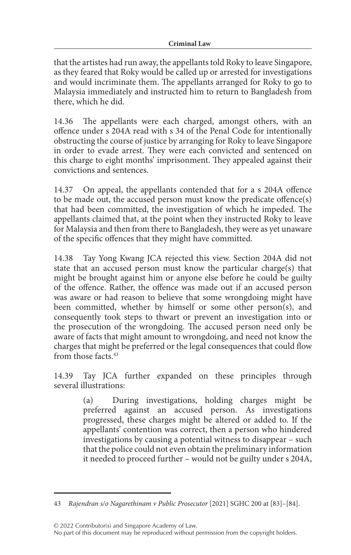that the artistes had run away, the appellants told Roky to leave Singapore, as they feared that Roky would be called up or arrested for investigations and would incriminate them. The appellants arranged for Roky to go to Malaysia immediately and instructed him to return to Bangladesh from there, which he did.

14.36 The appellants were each charged, amongst others, with an offence under s 204A read with s 34 of the Penal Code for intentionally obstructing the course of justice by arranging for Roky to leave Singapore in order to evade arrest. They were each convicted and sentenced on this charge to eight months' imprisonment. They appealed against their convictions and sentences.

14.37 On appeal, the appellants contended that for a s 204A offence to be made out, the accused person must know the predicate offence(s) that had been committed, the investigation of which he impeded. The appellants claimed that, at the point when they instructed Roky to leave for Malaysia and then from there to Bangladesh, they were as yet unaware of the specific offences that they might have committed.

14.38 Tay Yong Kwang JCA rejected this view. Section 204A did not state that an accused person must know the particular charge(s) that might be brought against him or anyone else before he could be guilty of the offence. Rather, the offence was made out if an accused person was aware or had reason to believe that some wrongdoing might have been committed, whether by himself or some other person(s), and consequently took steps to thwart or prevent an investigation into or the prosecution of the wrongdoing. The accused person need only be aware of facts that might amount to wrongdoing, and need not know the charges that might be preferred or the legal consequences that could flow from those facts<sup>43</sup>

14.39 Tay JCA further expanded on these principles through several illustrations:

> (a) During investigations, holding charges might be preferred against an accused person. As investigations progressed, these charges might be altered or added to. If the appellants' contention was correct, then a person who hindered investigations by causing a potential witness to disappear – such that the police could not even obtain the preliminary information it needed to proceed further – would not be guilty under s 204A,

© 2022 Contributor(s) and Singapore Academy of Law.

<sup>43</sup> *Rajendran s/o Nagarethinam v Public Prosecutor* [2021] SGHC 200 at [83]–[84].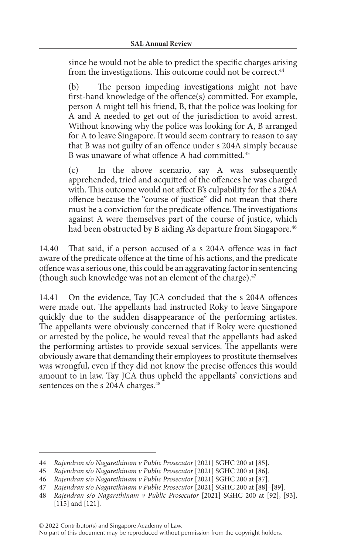since he would not be able to predict the specific charges arising from the investigations. This outcome could not be correct.<sup>44</sup>

(b) The person impeding investigations might not have first-hand knowledge of the offence(s) committed. For example, person A might tell his friend, B, that the police was looking for A and A needed to get out of the jurisdiction to avoid arrest. Without knowing why the police was looking for A, B arranged for A to leave Singapore. It would seem contrary to reason to say that B was not guilty of an offence under s 204A simply because B was unaware of what offence A had committed.<sup>45</sup>

(c) In the above scenario, say A was subsequently apprehended, tried and acquitted of the offences he was charged with. This outcome would not affect B's culpability for the s 204A offence because the "course of justice" did not mean that there must be a conviction for the predicate offence. The investigations against A were themselves part of the course of justice, which had been obstructed by B aiding A's departure from Singapore.<sup>46</sup>

14.40 That said, if a person accused of a s 204A offence was in fact aware of the predicate offence at the time of his actions, and the predicate offence was a serious one, this could be an aggravating factor in sentencing (though such knowledge was not an element of the charge). $47$ 

14.41 On the evidence, Tay JCA concluded that the s 204A offences were made out. The appellants had instructed Roky to leave Singapore quickly due to the sudden disappearance of the performing artistes. The appellants were obviously concerned that if Roky were questioned or arrested by the police, he would reveal that the appellants had asked the performing artistes to provide sexual services. The appellants were obviously aware that demanding their employees to prostitute themselves was wrongful, even if they did not know the precise offences this would amount to in law. Tay JCA thus upheld the appellants' convictions and sentences on the s 204A charges.<sup>48</sup>

<sup>44</sup> *Rajendran s/o Nagarethinam v Public Prosecutor* [2021] SGHC 200 at [85].

<sup>45</sup> *Rajendran s/o Nagarethinam v Public Prosecutor* [2021] SGHC 200 at [86].

<sup>46</sup> *Rajendran s/o Nagarethinam v Public Prosecutor* [2021] SGHC 200 at [87].

<sup>47</sup> *Rajendran s/o Nagarethinam v Public Prosecutor* [2021] SGHC 200 at [88]–[89].

<sup>48</sup> *Rajendran s/o Nagarethinam v Public Prosecutor* [2021] SGHC 200 at [92], [93], [115] and [121].

No part of this document may be reproduced without permission from the copyright holders.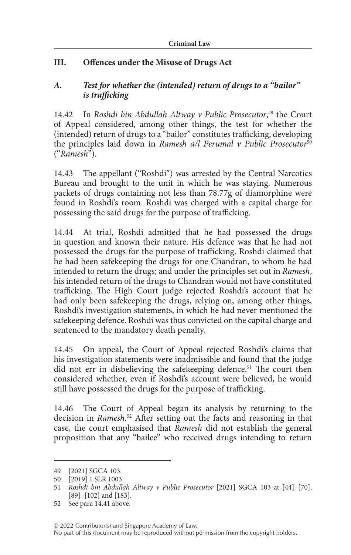# **III. Offences under the Misuse of Drugs Act**

### *A. Test for whether the (intended) return of drugs to a "bailor" is trafficking*

14.42 In *Roshdi bin Abdullah Altway v Public Prosecutor*, 49 the Court of Appeal considered, among other things, the test for whether the (intended) return of drugs to a "bailor" constitutes trafficking, developing the principles laid down in *Ramesh a/l Perumal v Public Prosecutor*<sup>50</sup> ("*Ramesh*").

14.43 The appellant ("Roshdi") was arrested by the Central Narcotics Bureau and brought to the unit in which he was staying. Numerous packets of drugs containing not less than 78.77g of diamorphine were found in Roshdi's room. Roshdi was charged with a capital charge for possessing the said drugs for the purpose of trafficking.

14.44 At trial, Roshdi admitted that he had possessed the drugs in question and known their nature. His defence was that he had not possessed the drugs for the purpose of trafficking. Roshdi claimed that he had been safekeeping the drugs for one Chandran, to whom he had intended to return the drugs; and under the principles set out in *Ramesh*, his intended return of the drugs to Chandran would not have constituted trafficking. The High Court judge rejected Roshdi's account that he had only been safekeeping the drugs, relying on, among other things, Roshdi's investigation statements, in which he had never mentioned the safekeeping defence. Roshdi was thus convicted on the capital charge and sentenced to the mandatory death penalty.

14.45 On appeal, the Court of Appeal rejected Roshdi's claims that his investigation statements were inadmissible and found that the judge did not err in disbelieving the safekeeping defence.<sup>51</sup> The court then considered whether, even if Roshdi's account were believed, he would still have possessed the drugs for the purpose of trafficking.

14.46 The Court of Appeal began its analysis by returning to the decision in *Ramesh*. 52 After setting out the facts and reasoning in that case, the court emphasised that *Ramesh* did not establish the general proposition that any "bailee" who received drugs intending to return

<sup>49</sup> [2021] SGCA 103.

<sup>50</sup> [2019] 1 SLR 1003.

<sup>51</sup> *Roshdi bin Abdullah Altway v Public Prosecutor* [2021] SGCA 103 at [44]–[70], [89]–[102] and [183].

<sup>52</sup> See para 14.41 above.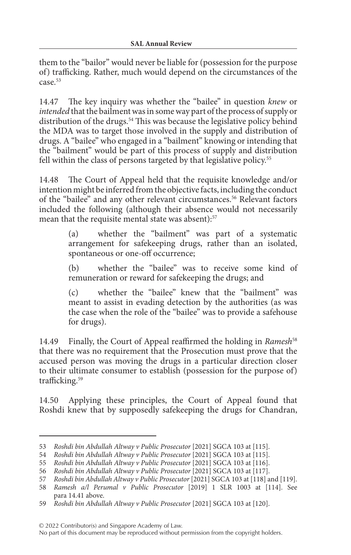them to the "bailor" would never be liable for (possession for the purpose of) trafficking. Rather, much would depend on the circumstances of the case.53

14.47 The key inquiry was whether the "bailee" in question *knew* or *intended* that the bailment was in some way part of the process of supply or distribution of the drugs.<sup>54</sup> This was because the legislative policy behind the MDA was to target those involved in the supply and distribution of drugs. A "bailee" who engaged in a "bailment" knowing or intending that the "bailment" would be part of this process of supply and distribution fell within the class of persons targeted by that legislative policy.<sup>55</sup>

14.48 The Court of Appeal held that the requisite knowledge and/or intention might be inferred from the objective facts, including the conduct of the "bailee" and any other relevant circumstances.<sup>56</sup> Relevant factors included the following (although their absence would not necessarily mean that the requisite mental state was absent):<sup>57</sup>

> (a) whether the "bailment" was part of a systematic arrangement for safekeeping drugs, rather than an isolated, spontaneous or one-off occurrence;

> (b) whether the "bailee" was to receive some kind of remuneration or reward for safekeeping the drugs; and

> (c) whether the "bailee" knew that the "bailment" was meant to assist in evading detection by the authorities (as was the case when the role of the "bailee" was to provide a safehouse for drugs).

14.49 Finally, the Court of Appeal reaffirmed the holding in *Ramesh*<sup>58</sup> that there was no requirement that the Prosecution must prove that the accused person was moving the drugs in a particular direction closer to their ultimate consumer to establish (possession for the purpose of) trafficking.<sup>59</sup>

14.50 Applying these principles, the Court of Appeal found that Roshdi knew that by supposedly safekeeping the drugs for Chandran,

© 2022 Contributor(s) and Singapore Academy of Law.

<sup>53</sup> *Roshdi bin Abdullah Altway v Public Prosecutor* [2021] SGCA 103 at [115].

<sup>54</sup> *Roshdi bin Abdullah Altway v Public Prosecutor* [2021] SGCA 103 at [115].

<sup>55</sup> *Roshdi bin Abdullah Altway v Public Prosecutor* [2021] SGCA 103 at [116].

<sup>56</sup> *Roshdi bin Abdullah Altway v Public Prosecutor* [2021] SGCA 103 at [117].

<sup>57</sup> *Roshdi bin Abdullah Altway v Public Prosecutor* [2021] SGCA 103 at [118] and [119].

<sup>58</sup> *Ramesh a/l Perumal v Public Prosecutor* [2019] 1 SLR 1003 at [114]. See para 14.41 above.

<sup>59</sup> *Roshdi bin Abdullah Altway v Public Prosecutor* [2021] SGCA 103 at [120].

No part of this document may be reproduced without permission from the copyright holders.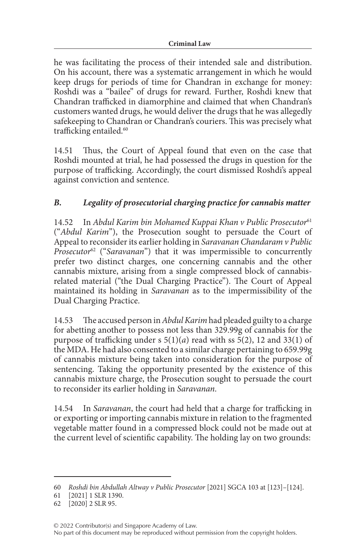he was facilitating the process of their intended sale and distribution. On his account, there was a systematic arrangement in which he would keep drugs for periods of time for Chandran in exchange for money: Roshdi was a "bailee" of drugs for reward. Further, Roshdi knew that Chandran trafficked in diamorphine and claimed that when Chandran's customers wanted drugs, he would deliver the drugs that he was allegedly safekeeping to Chandran or Chandran's couriers. This was precisely what trafficking entailed.<sup>60</sup>

14.51 Thus, the Court of Appeal found that even on the case that Roshdi mounted at trial, he had possessed the drugs in question for the purpose of trafficking. Accordingly, the court dismissed Roshdi's appeal against conviction and sentence.

# *B. Legality of prosecutorial charging practice for cannabis matter*

14.52 In *Abdul Karim bin Mohamed Kuppai Khan v Public Prosecutor*<sup>61</sup> ("*Abdul Karim*"), the Prosecution sought to persuade the Court of Appeal to reconsider its earlier holding in *Saravanan Chandaram v Public Prosecutor*62 ("*Saravanan*") that it was impermissible to concurrently prefer two distinct charges, one concerning cannabis and the other cannabis mixture, arising from a single compressed block of cannabisrelated material ("the Dual Charging Practice"). The Court of Appeal maintained its holding in *Saravanan* as to the impermissibility of the Dual Charging Practice.

14.53 The accused person in *Abdul Karim* had pleaded guilty to a charge for abetting another to possess not less than 329.99g of cannabis for the purpose of trafficking under s 5(1)(*a*) read with ss 5(2), 12 and 33(1) of the MDA. He had also consented to a similar charge pertaining to 659.99g of cannabis mixture being taken into consideration for the purpose of sentencing. Taking the opportunity presented by the existence of this cannabis mixture charge, the Prosecution sought to persuade the court to reconsider its earlier holding in *Saravanan*.

14.54 In *Saravanan*, the court had held that a charge for trafficking in or exporting or importing cannabis mixture in relation to the fragmented vegetable matter found in a compressed block could not be made out at the current level of scientific capability. The holding lay on two grounds:

<sup>60</sup> *Roshdi bin Abdullah Altway v Public Prosecutor* [2021] SGCA 103 at [123]–[124].

<sup>61</sup> [2021] 1 SLR 1390.

<sup>62</sup> [2020] 2 SLR 95.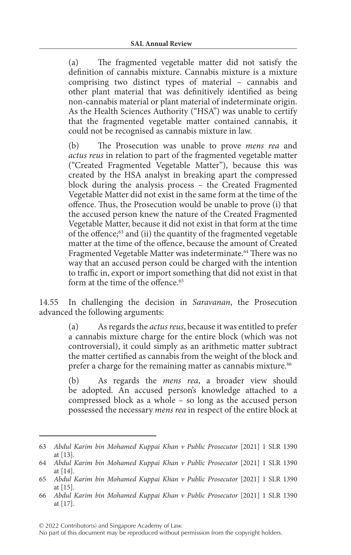(a) The fragmented vegetable matter did not satisfy the definition of cannabis mixture. Cannabis mixture is a mixture comprising two distinct types of material – cannabis and other plant material that was definitively identified as being non-cannabis material or plant material of indeterminate origin. As the Health Sciences Authority ("HSA") was unable to certify that the fragmented vegetable matter contained cannabis, it could not be recognised as cannabis mixture in law.

(b) The Prosecution was unable to prove *mens rea* and *actus reus* in relation to part of the fragmented vegetable matter ("Created Fragmented Vegetable Matter"), because this was created by the HSA analyst in breaking apart the compressed block during the analysis process – the Created Fragmented Vegetable Matter did not exist in the same form at the time of the offence. Thus, the Prosecution would be unable to prove (i) that the accused person knew the nature of the Created Fragmented Vegetable Matter, because it did not exist in that form at the time of the offence;63 and (ii) the quantity of the fragmented vegetable matter at the time of the offence, because the amount of Created Fragmented Vegetable Matter was indeterminate.<sup>64</sup> There was no way that an accused person could be charged with the intention to traffic in, export or import something that did not exist in that form at the time of the offence.<sup>65</sup>

14.55 In challenging the decision in *Saravanan*, the Prosecution advanced the following arguments:

> (a) As regards the *actus reus*, because it was entitled to prefer a cannabis mixture charge for the entire block (which was not controversial), it could simply as an arithmetic matter subtract the matter certified as cannabis from the weight of the block and prefer a charge for the remaining matter as cannabis mixture.<sup>66</sup>

> (b) As regards the *mens rea*, a broader view should be adopted. An accused person's knowledge attached to a compressed block as a whole – so long as the accused person possessed the necessary *mens rea* in respect of the entire block at

© 2022 Contributor(s) and Singapore Academy of Law.

```
No part of this document may be reproduced without permission from the copyright holders.
```
<sup>63</sup> *Abdul Karim bin Mohamed Kuppai Khan v Public Prosecutor* [2021] 1 SLR 1390 at [13].

<sup>64</sup> *Abdul Karim bin Mohamed Kuppai Khan v Public Prosecutor* [2021] 1 SLR 1390 at [14].

<sup>65</sup> *Abdul Karim bin Mohamed Kuppai Khan v Public Prosecutor* [2021] 1 SLR 1390 at [15].

<sup>66</sup> *Abdul Karim bin Mohamed Kuppai Khan v Public Prosecutor* [2021] 1 SLR 1390 at [17].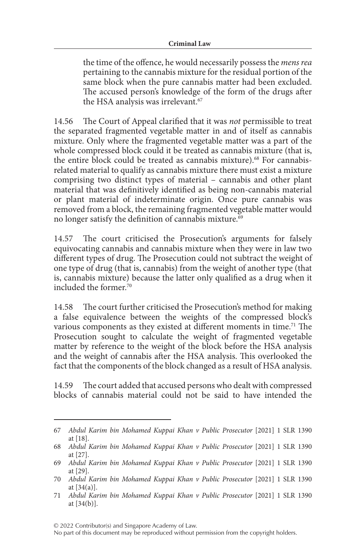the time of the offence, he would necessarily possess the *mens rea* pertaining to the cannabis mixture for the residual portion of the same block when the pure cannabis matter had been excluded. The accused person's knowledge of the form of the drugs after the HSA analysis was irrelevant.<sup>67</sup>

14.56 The Court of Appeal clarified that it was *not* permissible to treat the separated fragmented vegetable matter in and of itself as cannabis mixture. Only where the fragmented vegetable matter was a part of the whole compressed block could it be treated as cannabis mixture (that is, the entire block could be treated as cannabis mixture).<sup>68</sup> For cannabisrelated material to qualify as cannabis mixture there must exist a mixture comprising two distinct types of material – cannabis and other plant material that was definitively identified as being non-cannabis material or plant material of indeterminate origin. Once pure cannabis was removed from a block, the remaining fragmented vegetable matter would no longer satisfy the definition of cannabis mixture.<sup>69</sup>

14.57 The court criticised the Prosecution's arguments for falsely equivocating cannabis and cannabis mixture when they were in law two different types of drug. The Prosecution could not subtract the weight of one type of drug (that is, cannabis) from the weight of another type (that is, cannabis mixture) because the latter only qualified as a drug when it included the former.<sup>70</sup>

14.58 The court further criticised the Prosecution's method for making a false equivalence between the weights of the compressed block's various components as they existed at different moments in time.<sup>71</sup> The Prosecution sought to calculate the weight of fragmented vegetable matter by reference to the weight of the block before the HSA analysis and the weight of cannabis after the HSA analysis. This overlooked the fact that the components of the block changed as a result of HSA analysis.

14.59 The court added that accused persons who dealt with compressed blocks of cannabis material could not be said to have intended the

© 2022 Contributor(s) and Singapore Academy of Law.

<sup>67</sup> *Abdul Karim bin Mohamed Kuppai Khan v Public Prosecutor* [2021] 1 SLR 1390 at [18].

<sup>68</sup> *Abdul Karim bin Mohamed Kuppai Khan v Public Prosecutor* [2021] 1 SLR 1390 at [27].

<sup>69</sup> *Abdul Karim bin Mohamed Kuppai Khan v Public Prosecutor* [2021] 1 SLR 1390 at [29].

<sup>70</sup> *Abdul Karim bin Mohamed Kuppai Khan v Public Prosecutor* [2021] 1 SLR 1390 at  $[34(a)]$ .

<sup>71</sup> *Abdul Karim bin Mohamed Kuppai Khan v Public Prosecutor* [2021] 1 SLR 1390 at [34(b)].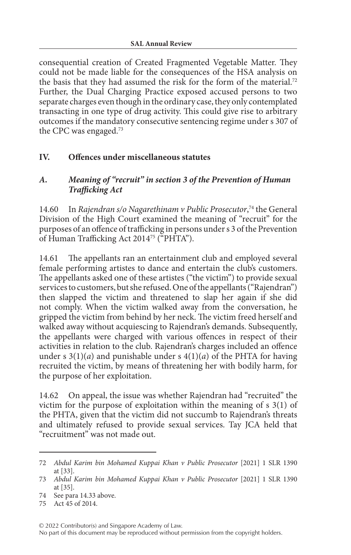consequential creation of Created Fragmented Vegetable Matter. They could not be made liable for the consequences of the HSA analysis on the basis that they had assumed the risk for the form of the material.<sup>72</sup> Further, the Dual Charging Practice exposed accused persons to two separate charges even though in the ordinary case, they only contemplated transacting in one type of drug activity. This could give rise to arbitrary outcomes if the mandatory consecutive sentencing regime under s 307 of the CPC was engaged.73

## **IV. Offences under miscellaneous statutes**

#### *A. Meaning of "recruit" in section 3 of the Prevention of Human Trafficking Act*

14.60 In *Rajendran s/o Nagarethinam v Public Prosecutor*, 74 the General Division of the High Court examined the meaning of "recruit" for the purposes of an offence of trafficking in persons under s 3 of the Prevention of Human Trafficking Act 201475 ("PHTA").

14.61 The appellants ran an entertainment club and employed several female performing artistes to dance and entertain the club's customers. The appellants asked one of these artistes ("the victim") to provide sexual services to customers, but she refused. One of the appellants ("Rajendran") then slapped the victim and threatened to slap her again if she did not comply. When the victim walked away from the conversation, he gripped the victim from behind by her neck. The victim freed herself and walked away without acquiescing to Rajendran's demands. Subsequently, the appellants were charged with various offences in respect of their activities in relation to the club. Rajendran's charges included an offence under s  $3(1)(a)$  and punishable under s  $4(1)(a)$  of the PHTA for having recruited the victim, by means of threatening her with bodily harm, for the purpose of her exploitation.

14.62 On appeal, the issue was whether Rajendran had "recruited" the victim for the purpose of exploitation within the meaning of s 3(1) of the PHTA, given that the victim did not succumb to Rajendran's threats and ultimately refused to provide sexual services. Tay JCA held that "recruitment" was not made out.

© 2022 Contributor(s) and Singapore Academy of Law. No part of this document may be reproduced without permission from the copyright holders.

<sup>72</sup> *Abdul Karim bin Mohamed Kuppai Khan v Public Prosecutor* [2021] 1 SLR 1390 at [33].

<sup>73</sup> *Abdul Karim bin Mohamed Kuppai Khan v Public Prosecutor* [2021] 1 SLR 1390 at [35].

<sup>74</sup> See para 14.33 above.

<sup>75</sup> Act 45 of 2014.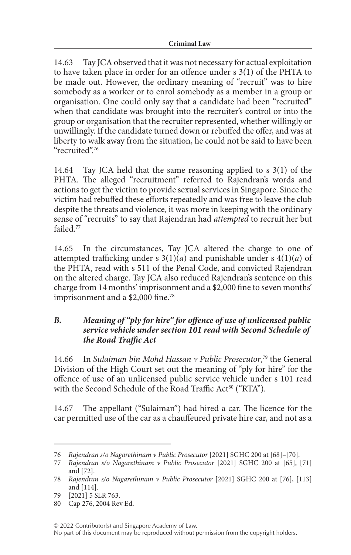14.63 Tay JCA observed that it was not necessary for actual exploitation to have taken place in order for an offence under s 3(1) of the PHTA to be made out. However, the ordinary meaning of "recruit" was to hire somebody as a worker or to enrol somebody as a member in a group or organisation. One could only say that a candidate had been "recruited" when that candidate was brought into the recruiter's control or into the group or organisation that the recruiter represented, whether willingly or unwillingly. If the candidate turned down or rebuffed the offer, and was at liberty to walk away from the situation, he could not be said to have been "recruited".76

14.64 Tay JCA held that the same reasoning applied to s 3(1) of the PHTA. The alleged "recruitment" referred to Rajendran's words and actions to get the victim to provide sexual services in Singapore. Since the victim had rebuffed these efforts repeatedly and was free to leave the club despite the threats and violence, it was more in keeping with the ordinary sense of "recruits" to say that Rajendran had *attempted* to recruit her but failed<sup>77</sup>

14.65 In the circumstances, Tay JCA altered the charge to one of attempted trafficking under s  $3(1)(a)$  and punishable under s  $4(1)(a)$  of the PHTA, read with s 511 of the Penal Code, and convicted Rajendran on the altered charge. Tay JCA also reduced Rajendran's sentence on this charge from 14 months' imprisonment and a \$2,000 fine to seven months' imprisonment and a \$2,000 fine.<sup>78</sup>

#### *B. Meaning of "ply for hire" for offence of use of unlicensed public service vehicle under section 101 read with Second Schedule of the Road Traffic Act*

14.66 In *Sulaiman bin Mohd Hassan v Public Prosecutor*, 79 the General Division of the High Court set out the meaning of "ply for hire" for the offence of use of an unlicensed public service vehicle under s 101 read with the Second Schedule of the Road Traffic Act<sup>80</sup> ("RTA").

14.67 The appellant ("Sulaiman") had hired a car. The licence for the car permitted use of the car as a chauffeured private hire car, and not as a

© 2022 Contributor(s) and Singapore Academy of Law.

<sup>76</sup> *Rajendran s/o Nagarethinam v Public Prosecutor* [2021] SGHC 200 at [68]–[70].

<sup>77</sup> *Rajendran s/o Nagarethinam v Public Prosecutor* [2021] SGHC 200 at [65], [71] and [72].

<sup>78</sup> *Rajendran s/o Nagarethinam v Public Prosecutor* [2021] SGHC 200 at [76], [113] and [114].

<sup>79</sup> [2021] 5 SLR 763.

<sup>80</sup> Cap 276, 2004 Rev Ed.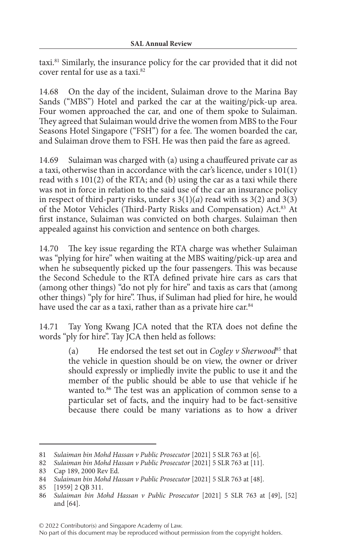taxi.81 Similarly, the insurance policy for the car provided that it did not cover rental for use as a taxi.82

14.68 On the day of the incident, Sulaiman drove to the Marina Bay Sands ("MBS") Hotel and parked the car at the waiting/pick-up area. Four women approached the car, and one of them spoke to Sulaiman. They agreed that Sulaiman would drive the women from MBS to the Four Seasons Hotel Singapore ("FSH") for a fee. The women boarded the car, and Sulaiman drove them to FSH. He was then paid the fare as agreed.

14.69 Sulaiman was charged with (a) using a chauffeured private car as a taxi, otherwise than in accordance with the car's licence, under s 101(1) read with s 101(2) of the RTA; and (b) using the car as a taxi while there was not in force in relation to the said use of the car an insurance policy in respect of third-party risks, under s  $3(1)(a)$  read with ss  $3(2)$  and  $3(3)$ of the Motor Vehicles (Third-Party Risks and Compensation) Act.83 At first instance, Sulaiman was convicted on both charges. Sulaiman then appealed against his conviction and sentence on both charges.

14.70 The key issue regarding the RTA charge was whether Sulaiman was "plying for hire" when waiting at the MBS waiting/pick-up area and when he subsequently picked up the four passengers. This was because the Second Schedule to the RTA defined private hire cars as cars that (among other things) "do not ply for hire" and taxis as cars that (among other things) "ply for hire". Thus, if Suliman had plied for hire, he would have used the car as a taxi, rather than as a private hire car.<sup>84</sup>

14.71 Tay Yong Kwang JCA noted that the RTA does not define the words "ply for hire". Tay JCA then held as follows:

> (a) He endorsed the test set out in *Cogley v Sherwood*<sup>85</sup> that the vehicle in question should be on view, the owner or driver should expressly or impliedly invite the public to use it and the member of the public should be able to use that vehicle if he wanted to.<sup>86</sup> The test was an application of common sense to a particular set of facts, and the inquiry had to be fact-sensitive because there could be many variations as to how a driver

<sup>81</sup> *Sulaiman bin Mohd Hassan v Public Prosecutor* [2021] 5 SLR 763 at [6].

<sup>82</sup> *Sulaiman bin Mohd Hassan v Public Prosecutor* [2021] 5 SLR 763 at [11].

<sup>83</sup> Cap 189, 2000 Rev Ed.

<sup>84</sup> *Sulaiman bin Mohd Hassan v Public Prosecutor* [2021] 5 SLR 763 at [48].

<sup>85</sup> [1959] 2 QB 311.

<sup>86</sup> *Sulaiman bin Mohd Hassan v Public Prosecutor* [2021] 5 SLR 763 at [49], [52] and [64].

<sup>© 2022</sup> Contributor(s) and Singapore Academy of Law.

No part of this document may be reproduced without permission from the copyright holders.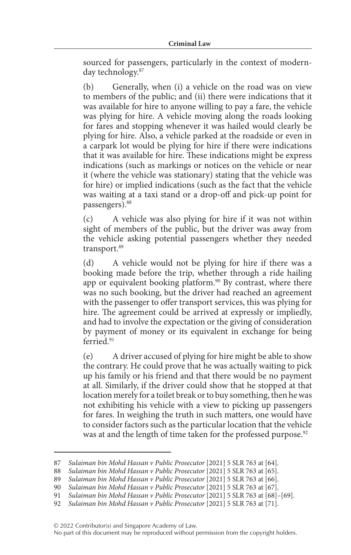sourced for passengers, particularly in the context of modernday technology.87

(b) Generally, when (i) a vehicle on the road was on view to members of the public; and (ii) there were indications that it was available for hire to anyone willing to pay a fare, the vehicle was plying for hire. A vehicle moving along the roads looking for fares and stopping whenever it was hailed would clearly be plying for hire. Also, a vehicle parked at the roadside or even in a carpark lot would be plying for hire if there were indications that it was available for hire. These indications might be express indications (such as markings or notices on the vehicle or near it (where the vehicle was stationary) stating that the vehicle was for hire) or implied indications (such as the fact that the vehicle was waiting at a taxi stand or a drop-off and pick-up point for passengers).88

(c) A vehicle was also plying for hire if it was not within sight of members of the public, but the driver was away from the vehicle asking potential passengers whether they needed transport.<sup>89</sup>

(d) A vehicle would not be plying for hire if there was a booking made before the trip, whether through a ride hailing app or equivalent booking platform.<sup>90</sup> By contrast, where there was no such booking, but the driver had reached an agreement with the passenger to offer transport services, this was plying for hire. The agreement could be arrived at expressly or impliedly, and had to involve the expectation or the giving of consideration by payment of money or its equivalent in exchange for being ferried<sup>91</sup>

(e) A driver accused of plying for hire might be able to show the contrary. He could prove that he was actually waiting to pick up his family or his friend and that there would be no payment at all. Similarly, if the driver could show that he stopped at that location merely for a toilet break or to buy something, then he was not exhibiting his vehicle with a view to picking up passengers for fares. In weighing the truth in such matters, one would have to consider factors such as the particular location that the vehicle was at and the length of time taken for the professed purpose.<sup>92</sup>

<sup>87</sup> *Sulaiman bin Mohd Hassan v Public Prosecutor* [2021] 5 SLR 763 at [64].

<sup>88</sup> *Sulaiman bin Mohd Hassan v Public Prosecutor* [2021] 5 SLR 763 at [65].

<sup>89</sup> *Sulaiman bin Mohd Hassan v Public Prosecutor* [2021] 5 SLR 763 at [66].

<sup>90</sup> *Sulaiman bin Mohd Hassan v Public Prosecutor* [2021] 5 SLR 763 at [67].

<sup>91</sup> *Sulaiman bin Mohd Hassan v Public Prosecutor* [2021] 5 SLR 763 at [68]–[69].

<sup>92</sup> *Sulaiman bin Mohd Hassan v Public Prosecutor* [2021] 5 SLR 763 at [71].